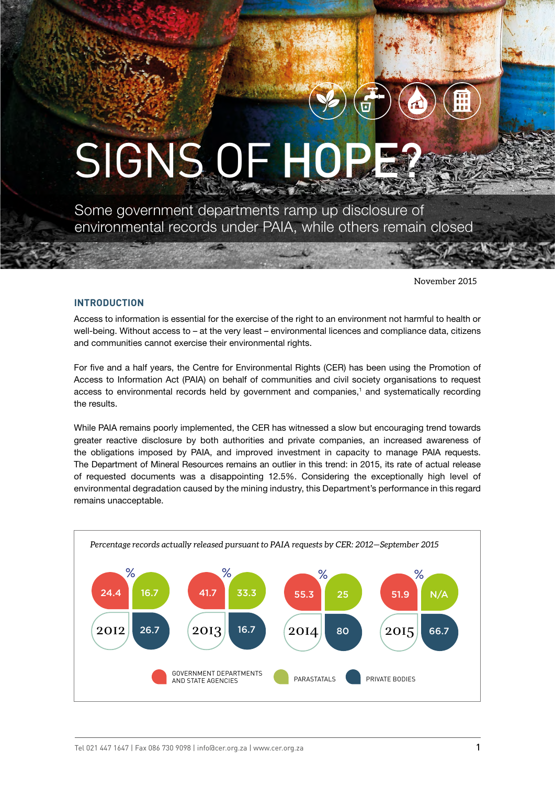# SIGNS OF HOP

Some government departments ramp up disclosure of environmental records under PAIA, while others remain closed

November 2015

#### **INTRODUCTION**

Access to information is essential for the exercise of the right to an environment not harmful to health or well-being. Without access to – at the very least – environmental licences and compliance data, citizens and communities cannot exercise their environmental rights.

For five and a half years, the Centre for Environmental Rights (CER) has been using the Promotion of Access to Information Act (PAIA) on behalf of communities and civil society organisations to request access to environmental records held by government and companies,<sup>1</sup> and systematically recording the results.

While PAIA remains poorly implemented, the CER has witnessed a slow but encouraging trend towards greater reactive disclosure by both authorities and private companies, an increased awareness of the obligations imposed by PAIA, and improved investment in capacity to manage PAIA requests. The Department of Mineral Resources remains an outlier in this trend: in 2015, its rate of actual release of requested documents was a disappointing 12.5%. Considering the exceptionally high level of environmental degradation caused by the mining industry, this Department's performance in this regard remains unacceptable.

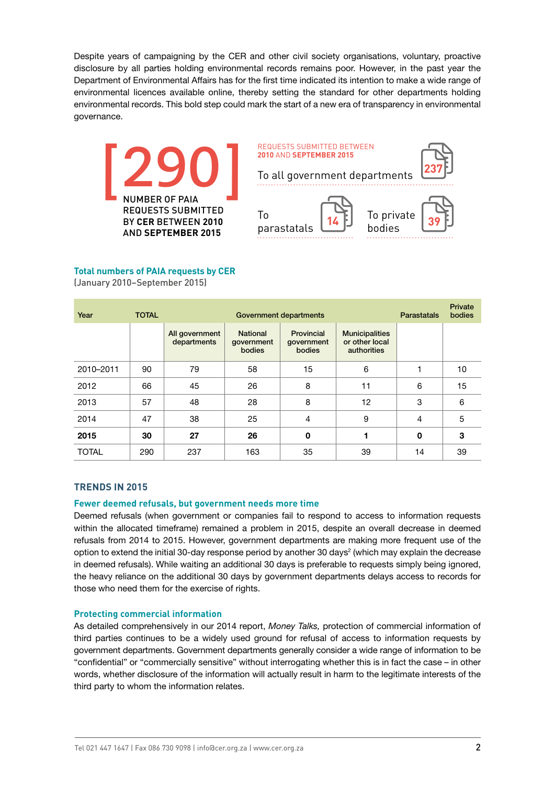Despite years of campaigning by the CER and other civil society organisations, voluntary, proactive disclosure by all parties holding environmental records remains poor. However, in the past year the Department of Environmental Affairs has for the first time indicated its intention to make a wide range of environmental licences available online, thereby setting the standard for other departments holding environmental records. This bold step could mark the start of a new era of transparency in environmental governance.



# **Total numbers of PAIA requests by CER**

(January 2010–September 2015)

| Year         | <b>TOTAL</b> | Government departments        |                                         |                                    |                                                        | <b>Parastatals</b> | Private<br>bodies |
|--------------|--------------|-------------------------------|-----------------------------------------|------------------------------------|--------------------------------------------------------|--------------------|-------------------|
|              |              | All government<br>departments | <b>National</b><br>government<br>bodies | Provincial<br>government<br>bodies | <b>Municipalities</b><br>or other local<br>authorities |                    |                   |
| 2010-2011    | 90           | 79                            | 58                                      | 15                                 | 6                                                      |                    | 10                |
| 2012         | 66           | 45                            | 26                                      | 8                                  | 11                                                     | 6                  | 15                |
| 2013         | 57           | 48                            | 28                                      | 8                                  | 12                                                     | 3                  | 6                 |
| 2014         | 47           | 38                            | 25                                      | $\overline{4}$                     | 9                                                      | $\overline{4}$     | 5                 |
| 2015         | 30           | 27                            | 26                                      | 0                                  | 1                                                      | 0                  | 3                 |
| <b>TOTAL</b> | 290          | 237                           | 163                                     | 35                                 | 39                                                     | 14                 | 39                |

## **TRENDS IN 2015**

#### **Fewer deemed refusals, but government needs more time**

Deemed refusals (when government or companies fail to respond to access to information requests within the allocated timeframe) remained a problem in 2015, despite an overall decrease in deemed refusals from 2014 to 2015. However, government departments are making more frequent use of the option to extend the initial 30-day response period by another 30 days<sup>2</sup> (which may explain the decrease in deemed refusals). While waiting an additional 30 days is preferable to requests simply being ignored, the heavy reliance on the additional 30 days by government departments delays access to records for those who need them for the exercise of rights.

#### **Protecting commercial information**

As detailed comprehensively in our 2014 report, *Money Talks,* protection of commercial information of third parties continues to be a widely used ground for refusal of access to information requests by government departments. Government departments generally consider a wide range of information to be "confidential" or "commercially sensitive" without interrogating whether this is in fact the case – in other words, whether disclosure of the information will actually result in harm to the legitimate interests of the third party to whom the information relates.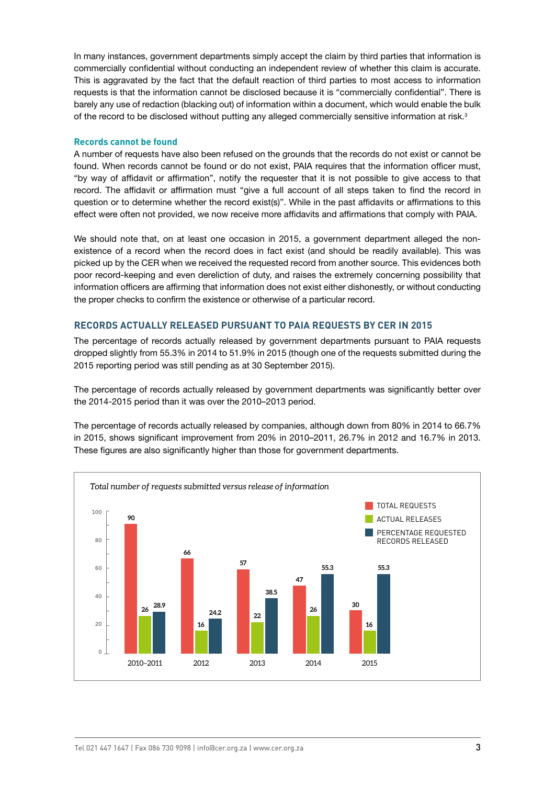In many instances, government departments simply accept the claim by third parties that information is commercially confidential without conducting an independent review of whether this claim is accurate. This is aggravated by the fact that the default reaction of third parties to most access to information requests is that the information cannot be disclosed because it is "commercially confidential". There is barely any use of redaction (blacking out) of information within a document, which would enable the bulk of the record to be disclosed without putting any alleged commercially sensitive information at risk.<sup>3</sup>

### **Records cannot be found**

A number of requests have also been refused on the grounds that the records do not exist or cannot be found. When records cannot be found or do not exist, PAIA requires that the information officer must, "by way of affidavit or affirmation", notify the requester that it is not possible to give access to that record. The affidavit or affirmation must "give a full account of all steps taken to find the record in question or to determine whether the record exist(s)". While in the past affidavits or affirmations to this effect were often not provided, we now receive more affidavits and affirmations that comply with PAIA.

We should note that, on at least one occasion in 2015, a government department alleged the nonexistence of a record when the record does in fact exist (and should be readily available). This was picked up by the CER when we received the requested record from another source. This evidences both poor record-keeping and even dereliction of duty, and raises the extremely concerning possibility that information officers are affirming that information does not exist either dishonestly, or without conducting the proper checks to confirm the existence or otherwise of a particular record.

## **RECORDS ACTUALLY RELEASED PURSUANT TO PAIA REQUESTS BY CER IN 2015**

The percentage of records actually released by government departments pursuant to PAIA requests dropped slightly from 55.3% in 2014 to 51.9% in 2015 (though one of the requests submitted during the 2015 reporting period was still pending as at 30 September 2015).

The percentage of records actually released by government departments was significantly better over the 2014-2015 period than it was over the 2010–2013 period.

The percentage of records actually released by companies, although down from 80% in 2014 to 66.7% in 2015, shows significant improvement from 20% in 2010–2011, 26.7% in 2012 and 16.7% in 2013. These figures are also significantly higher than those for government departments.

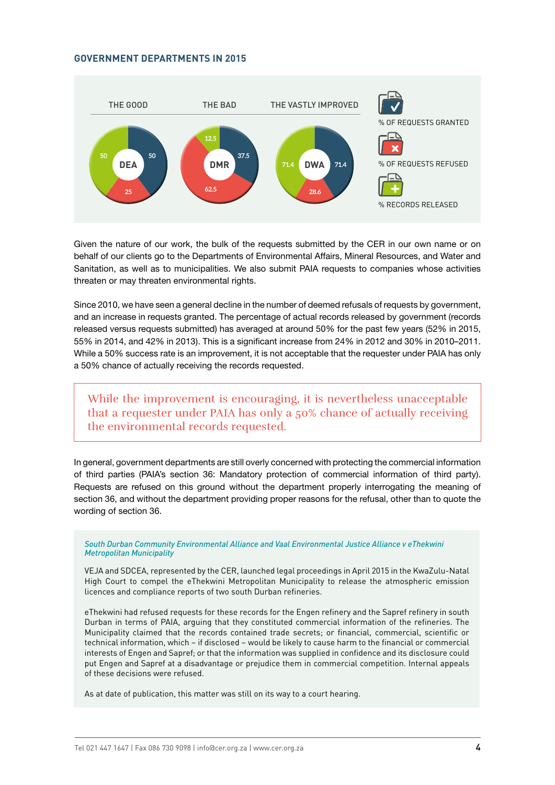#### **GOVERNMENT DEPARTMENTS IN 2015**



Given the nature of our work, the bulk of the requests submitted by the CER in our own name or on behalf of our clients go to the Departments of Environmental Affairs, Mineral Resources, and Water and Sanitation, as well as to municipalities. We also submit PAIA requests to companies whose activities threaten or may threaten environmental rights.

Since 2010, we have seen a general decline in the number of deemed refusals of requests by government, and an increase in requests granted. The percentage of actual records released by government (records released versus requests submitted) has averaged at around 50% for the past few years (52% in 2015, 55% in 2014, and 42% in 2013). This is a significant increase from 24% in 2012 and 30% in 2010–2011. While a 50% success rate is an improvement, it is not acceptable that the requester under PAIA has only a 50% chance of actually receiving the records requested.

While the improvement is encouraging, it is nevertheless unacceptable that a requester under PAIA has only a 50% chance of actually receiving the environmental records requested.

In general, government departments are still overly concerned with protecting the commercial information of third parties (PAIA's section 36: Mandatory protection of commercial information of third party). Requests are refused on this ground without the department properly interrogating the meaning of section 36, and without the department providing proper reasons for the refusal, other than to quote the wording of section 36.

*South Durban Community Environmental Alliance and Vaal Environmental Justice Alliance v eThekwini Metropolitan Municipality*

VEJA and SDCEA, represented by the CER, launched legal proceedings in April 2015 in the KwaZulu-Natal High Court to compel the eThekwini Metropolitan Municipality to release the atmospheric emission licences and compliance reports of two south Durban refineries.

eThekwini had refused requests for these records for the Engen refinery and the Sapref refinery in south Durban in terms of PAIA, arguing that they constituted commercial information of the refineries. The Municipality claimed that the records contained trade secrets; or financial, commercial, scientific or technical information, which – if disclosed – would be likely to cause harm to the financial or commercial interests of Engen and Sapref; or that the information was supplied in confidence and its disclosure could put Engen and Sapref at a disadvantage or prejudice them in commercial competition. Internal appeals of these decisions were refused.

As at date of publication, this matter was still on its way to a court hearing.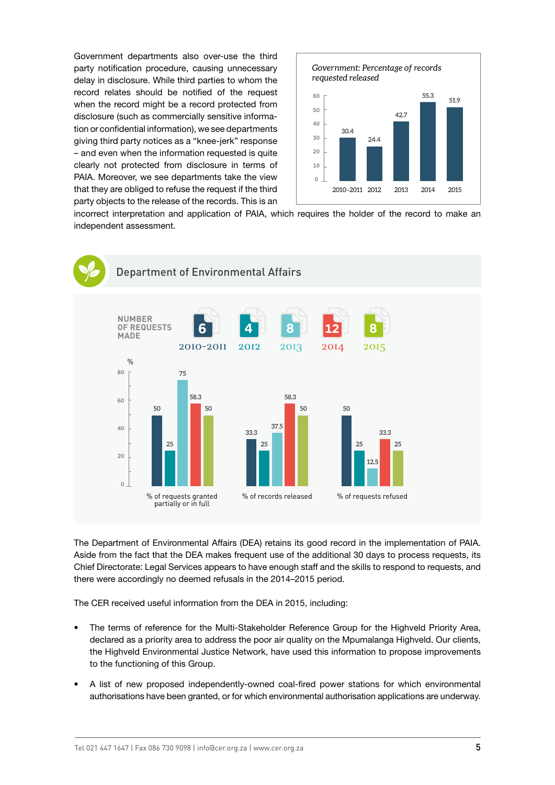Government departments also over-use the third party notification procedure, causing unnecessary delay in disclosure. While third parties to whom the record relates should be notified of the request when the record might be a record protected from disclosure (such as commercially sensitive information or confidential information), we see departments giving third party notices as a "knee-jerk" response – and even when the information requested is quite clearly not protected from disclosure in terms of PAIA. Moreover, we see departments take the view that they are obliged to refuse the request if the third party objects to the release of the records. This is an



incorrect interpretation and application of PAIA, which requires the holder of the record to make an independent assessment.



The Department of Environmental Affairs (DEA) retains its good record in the implementation of PAIA. Aside from the fact that the DEA makes frequent use of the additional 30 days to process requests, its Chief Directorate: Legal Services appears to have enough staff and the skills to respond to requests, and there were accordingly no deemed refusals in the 2014–2015 period.

The CER received useful information from the DEA in 2015, including:

- The terms of reference for the Multi-Stakeholder Reference Group for the Highveld Priority Area, declared as a priority area to address the poor air quality on the Mpumalanga Highveld. Our clients, the Highveld Environmental Justice Network, have used this information to propose improvements to the functioning of this Group.
- A list of new proposed independently-owned coal-fired power stations for which environmental authorisations have been granted, or for which environmental authorisation applications are underway.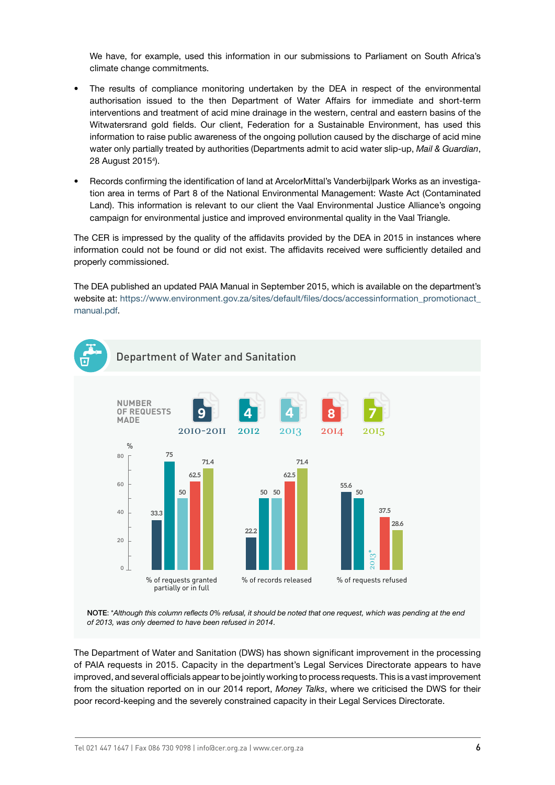We have, for example, used this information in our submissions to Parliament on South Africa's climate change commitments.

- The results of compliance monitoring undertaken by the DEA in respect of the environmental authorisation issued to the then Department of Water Affairs for immediate and short-term interventions and treatment of acid mine drainage in the western, central and eastern basins of the Witwatersrand gold fields. Our client, Federation for a Sustainable Environment, has used this information to raise public awareness of the ongoing pollution caused by the discharge of acid mine water only partially treated by authorities (Departments admit to acid water slip-up, *Mail & Guardian*, 28 August 20154 ).
- Records confirming the identification of land at ArcelorMittal's Vanderbijlpark Works as an investigation area in terms of Part 8 of the National Environmental Management: Waste Act (Contaminated Land). This information is relevant to our client the Vaal Environmental Justice Alliance's ongoing campaign for environmental justice and improved environmental quality in the Vaal Triangle.

The CER is impressed by the quality of the affidavits provided by the DEA in 2015 in instances where information could not be found or did not exist. The affidavits received were sufficiently detailed and properly commissioned.

The DEA published an updated PAIA Manual in September 2015, which is available on the department's website at: https://www.environment.gov.za/sites/default/files/docs/accessinformation\_promotionact [manual.pdf](https://www.environment.gov.za/sites/default/files/docs/accessinformation_promotionact_manual.pdf).



NOTE: \**Although this column reflects 0% refusal, it should be noted that one request, which was pending at the end of 2013, was only deemed to have been refused in 2014*.

The Department of Water and Sanitation (DWS) has shown significant improvement in the processing of PAIA requests in 2015. Capacity in the department's Legal Services Directorate appears to have improved, and several officials appear to be jointly working to process requests. This is a vast improvement from the situation reported on in our 2014 report, *Money Talks*, where we criticised the DWS for their wo of requests granted<br>
<sup>96</sup> of records released<br> **NOTE:** "Although this column reflects 0% refusal, it should be noted that one request, which was pending at the<br>
of 2013, was only deemed to have been refused in 2014.<br>
Th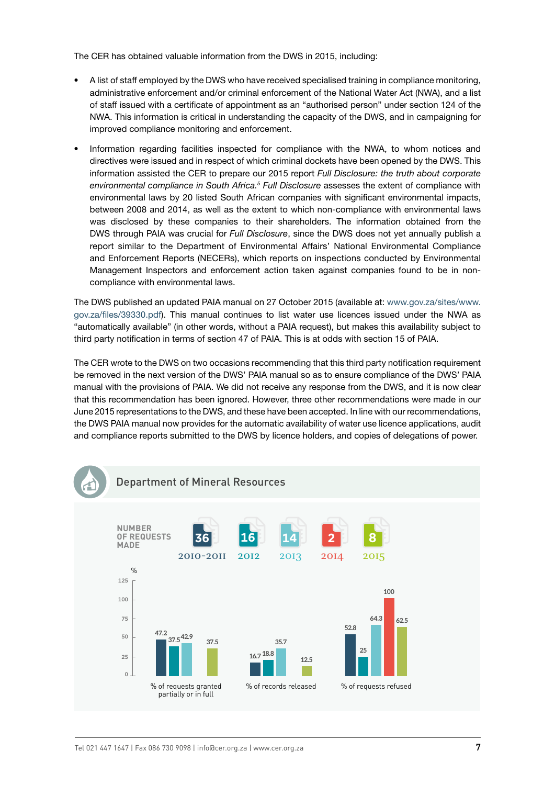The CER has obtained valuable information from the DWS in 2015, including:

- A list of staff employed by the DWS who have received specialised training in compliance monitoring, administrative enforcement and/or criminal enforcement of the National Water Act (NWA), and a list of staff issued with a certificate of appointment as an "authorised person" under section 124 of the NWA. This information is critical in understanding the capacity of the DWS, and in campaigning for improved compliance monitoring and enforcement.
- Information regarding facilities inspected for compliance with the NWA, to whom notices and directives were issued and in respect of which criminal dockets have been opened by the DWS. This information assisted the CER to prepare our 2015 report *Full Disclosure: the truth about corporate environmental compliance in South Africa.5 Full Disclosure* assesses the extent of compliance with environmental laws by 20 listed South African companies with significant environmental impacts, between 2008 and 2014, as well as the extent to which non-compliance with environmental laws was disclosed by these companies to their shareholders. The information obtained from the DWS through PAIA was crucial for *Full Disclosure*, since the DWS does not yet annually publish a report similar to the Department of Environmental Affairs' National Environmental Compliance and Enforcement Reports (NECERs), which reports on inspections conducted by Environmental Management Inspectors and enforcement action taken against companies found to be in noncompliance with environmental laws.

The DWS published an updated PAIA manual on 27 October 2015 (available at: [www.gov.za/sites/www.](http://www.gov.za/sites/www.gov.za/files/39330.pdf) [gov.za/files/39330.pdf\)](http://www.gov.za/sites/www.gov.za/files/39330.pdf). This manual continues to list water use licences issued under the NWA as "automatically available" (in other words, without a PAIA request), but makes this availability subject to third party notification in terms of section 47 of PAIA. This is at odds with section 15 of PAIA.

The CER wrote to the DWS on two occasions recommending that this third party notification requirement be removed in the next version of the DWS' PAIA manual so as to ensure compliance of the DWS' PAIA manual with the provisions of PAIA. We did not receive any response from the DWS, and it is now clear that this recommendation has been ignored. However, three other recommendations were made in our June 2015 representations to the DWS, and these have been accepted. In line with our recommendations, the DWS PAIA manual now provides for the automatic availability of water use licence applications, audit and compliance reports submitted to the DWS by licence holders, and copies of delegations of power.

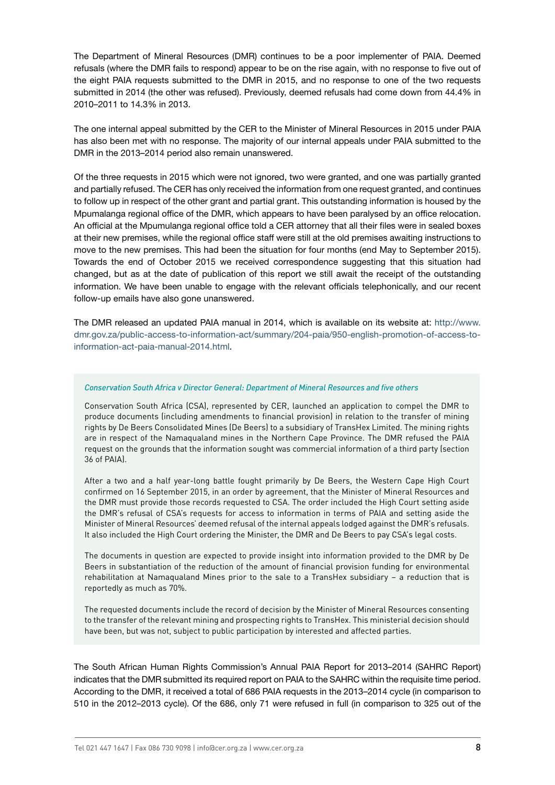The Department of Mineral Resources (DMR) continues to be a poor implementer of PAIA. Deemed refusals (where the DMR fails to respond) appear to be on the rise again, with no response to five out of the eight PAIA requests submitted to the DMR in 2015, and no response to one of the two requests submitted in 2014 (the other was refused). Previously, deemed refusals had come down from 44.4% in 2010–2011 to 14.3% in 2013.

The one internal appeal submitted by the CER to the Minister of Mineral Resources in 2015 under PAIA has also been met with no response. The majority of our internal appeals under PAIA submitted to the DMR in the 2013–2014 period also remain unanswered.

Of the three requests in 2015 which were not ignored, two were granted, and one was partially granted and partially refused. The CER has only received the information from one request granted, and continues to follow up in respect of the other grant and partial grant. This outstanding information is housed by the Mpumalanga regional office of the DMR, which appears to have been paralysed by an office relocation. An official at the Mpumulanga regional office told a CER attorney that all their files were in sealed boxes at their new premises, while the regional office staff were still at the old premises awaiting instructions to move to the new premises. This had been the situation for four months (end May to September 2015). Towards the end of October 2015 we received correspondence suggesting that this situation had changed, but as at the date of publication of this report we still await the receipt of the outstanding information. We have been unable to engage with the relevant officials telephonically, and our recent follow-up emails have also gone unanswered.

The DMR released an updated PAIA manual in 2014, which is available on its website at: [http://www.](http://www.dmr.gov.za/public-access-to-information-act/summary/204-paia/950-english-promotion-of-access-to-information-act-paia-manual-2014.html) [dmr.gov.za/public-access-to-information-act/summary/204-paia/950-english-promotion-of-access-to](http://www.dmr.gov.za/public-access-to-information-act/summary/204-paia/950-english-promotion-of-access-to-information-act-paia-manual-2014.html)[information-act-paia-manual-2014.html](http://www.dmr.gov.za/public-access-to-information-act/summary/204-paia/950-english-promotion-of-access-to-information-act-paia-manual-2014.html).

#### *Conservation South Africa v Director General: Department of Mineral Resources and five others*

Conservation South Africa (CSA), represented by CER, launched an application to compel the DMR to produce documents (including amendments to financial provision) in relation to the transfer of mining rights by De Beers Consolidated Mines (De Beers) to a subsidiary of TransHex Limited. The mining rights are in respect of the Namaqualand mines in the Northern Cape Province. The DMR refused the PAIA request on the grounds that the information sought was commercial information of a third party (section 36 of PAIA).

After a two and a half year-long battle fought primarily by De Beers, the Western Cape High Court confirmed on 16 September 2015, in an order by agreement, that the Minister of Mineral Resources and the DMR must provide those records requested to CSA. The order included the High Court setting aside the DMR's refusal of CSA's requests for access to information in terms of PAIA and setting aside the Minister of Mineral Resources' deemed refusal of the internal appeals lodged against the DMR's refusals. It also included the High Court ordering the Minister, the DMR and De Beers to pay CSA's legal costs.

The documents in question are expected to provide insight into information provided to the DMR by De Beers in substantiation of the reduction of the amount of financial provision funding for environmental rehabilitation at Namaqualand Mines prior to the sale to a TransHex subsidiary – a reduction that is reportedly as much as 70%.

The requested documents include the record of decision by the Minister of Mineral Resources consenting to the transfer of the relevant mining and prospecting rights to TransHex. This ministerial decision should have been, but was not, subject to public participation by interested and affected parties.

The South African Human Rights Commission's Annual PAIA Report for 2013–2014 (SAHRC Report) indicates that the DMR submitted its required report on PAIA to the SAHRC within the requisite time period. According to the DMR, it received a total of 686 PAIA requests in the 2013–2014 cycle (in comparison to 510 in the 2012–2013 cycle). Of the 686, only 71 were refused in full (in comparison to 325 out of the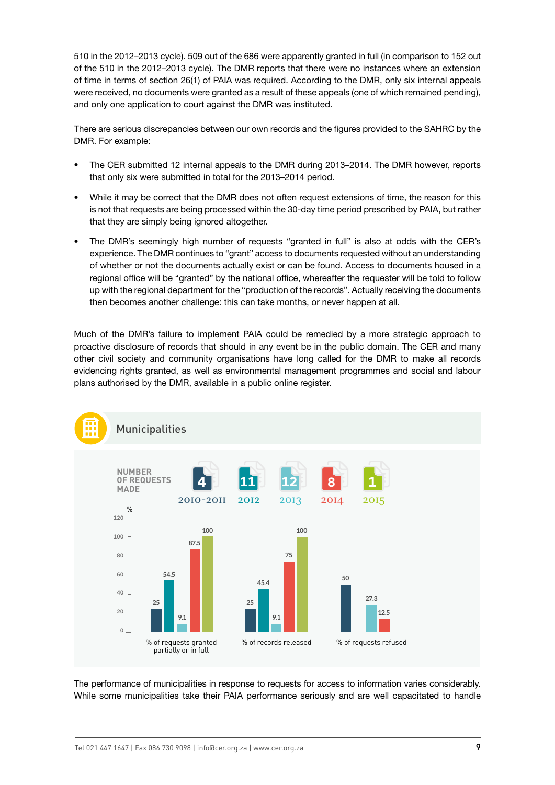510 in the 2012–2013 cycle). 509 out of the 686 were apparently granted in full (in comparison to 152 out of the 510 in the 2012–2013 cycle). The DMR reports that there were no instances where an extension of time in terms of section 26(1) of PAIA was required. According to the DMR, only six internal appeals were received, no documents were granted as a result of these appeals (one of which remained pending), and only one application to court against the DMR was instituted.

There are serious discrepancies between our own records and the figures provided to the SAHRC by the DMR. For example:

- The CER submitted 12 internal appeals to the DMR during 2013–2014. The DMR however, reports that only six were submitted in total for the 2013–2014 period.
- While it may be correct that the DMR does not often request extensions of time, the reason for this is not that requests are being processed within the 30-day time period prescribed by PAIA, but rather that they are simply being ignored altogether.
- The DMR's seemingly high number of requests "granted in full" is also at odds with the CER's experience. The DMR continues to "grant" access to documents requested without an understanding of whether or not the documents actually exist or can be found. Access to documents housed in a regional office will be "granted" by the national office, whereafter the requester will be told to follow up with the regional department for the "production of the records". Actually receiving the documents then becomes another challenge: this can take months, or never happen at all.

Much of the DMR's failure to implement PAIA could be remedied by a more strategic approach to proactive disclosure of records that should in any event be in the public domain. The CER and many other civil society and community organisations have long called for the DMR to make all records evidencing rights granted, as well as environmental management programmes and social and labour plans authorised by the DMR, available in a public online register.



The performance of municipalities in response to requests for access to information varies considerably. While some municipalities take their PAIA performance seriously and are well capacitated to handle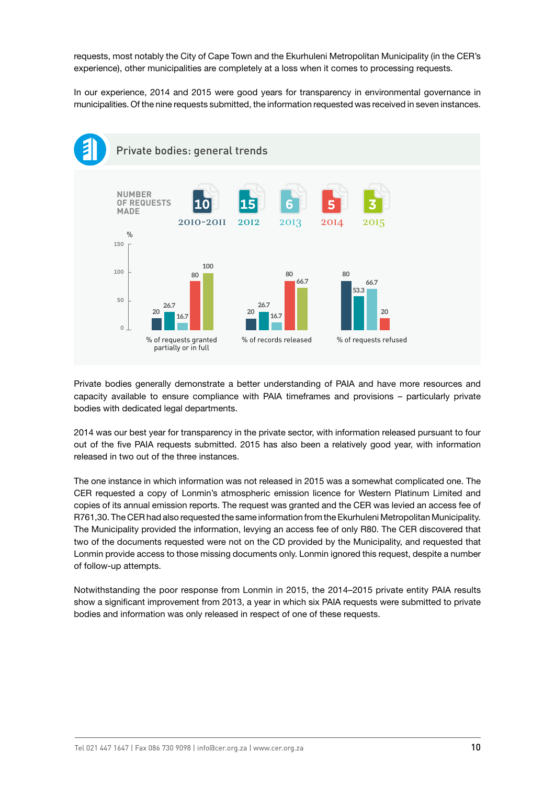requests, most notably the City of Cape Town and the Ekurhuleni Metropolitan Municipality (in the CER's experience), other municipalities are completely at a loss when it comes to processing requests.

In our experience, 2014 and 2015 were good years for transparency in environmental governance in municipalities. Of the nine requests submitted, the information requested was received in seven instances.



Private bodies generally demonstrate a better understanding of PAIA and have more resources and capacity available to ensure compliance with PAIA timeframes and provisions – particularly private bodies with dedicated legal departments.

2014 was our best year for transparency in the private sector, with information released pursuant to four out of the five PAIA requests submitted. 2015 has also been a relatively good year, with information released in two out of the three instances.

The one instance in which information was not released in 2015 was a somewhat complicated one. The CER requested a copy of Lonmin's atmospheric emission licence for Western Platinum Limited and copies of its annual emission reports. The request was granted and the CER was levied an access fee of R761,30. The CER had also requested the same information from the Ekurhuleni Metropolitan Municipality. The Municipality provided the information, levying an access fee of only R80. The CER discovered that two of the documents requested were not on the CD provided by the Municipality, and requested that Lonmin provide access to those missing documents only. Lonmin ignored this request, despite a number of follow-up attempts.

Notwithstanding the poor response from Lonmin in 2015, the 2014–2015 private entity PAIA results show a significant improvement from 2013, a year in which six PAIA requests were submitted to private bodies and information was only released in respect of one of these requests.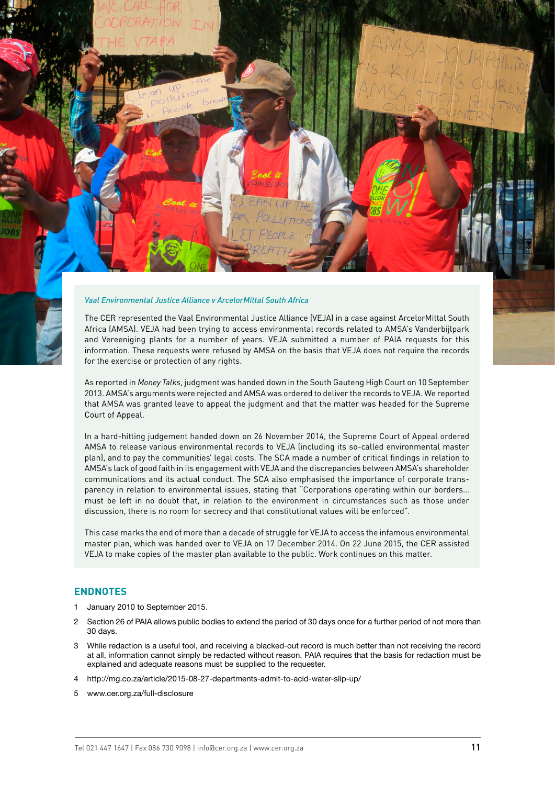#### *Vaal Environmental Justice Alliance v ArcelorMittal South Africa*

The CER represented the Vaal Environmental Justice Alliance (VEJA) in a case against ArcelorMittal South Africa (AMSA). VEJA had been trying to access environmental records related to AMSA's Vanderbijlpark and Vereeniging plants for a number of years. VEJA submitted a number of PAIA requests for this information. These requests were refused by AMSA on the basis that VEJA does not require the records for the exercise or protection of any rights.

As reported in *Money Talks*, judgment was handed down in the South Gauteng High Court on 10 September 2013. AMSA's arguments were rejected and AMSA was ordered to deliver the records to VEJA. We reported that AMSA was granted leave to appeal the judgment and that the matter was headed for the Supreme Court of Appeal.

In a hard-hitting judgement handed down on 26 November 2014, the Supreme Court of Appeal ordered AMSA to release various environmental records to VEJA (including its so-called environmental master plan), and to pay the communities' legal costs. The SCA made a number of critical findings in relation to AMSA's lack of good faith in its engagement with VEJA and the discrepancies between AMSA's shareholder communications and its actual conduct. The SCA also emphasised the importance of corporate transparency in relation to environmental issues, stating that "Corporations operating within our borders… must be left in no doubt that, in relation to the environment in circumstances such as those under discussion, there is no room for secrecy and that constitutional values will be enforced".

This case marks the end of more than a decade of struggle for VEJA to access the infamous environmental master plan, which was handed over to VEJA on 17 December 2014. On 22 June 2015, the CER assisted VEJA to make copies of the master plan available to the public. Work continues on this matter.

# **ENDNOTES**

- 1 January 2010 to September 2015.
- 2 Section 26 of PAIA allows public bodies to extend the period of 30 days once for a further period of not more than 30 days.
- 3 While redaction is a useful tool, and receiving a blacked-out record is much better than not receiving the record at all, information cannot simply be redacted without reason. PAIA requires that the basis for redaction must be explained and adequate reasons must be supplied to the requester.
- 4 <http://mg.co.za/article/2015-08-27-departments-admit-to-acid-water-slip-up/>
- 5 [www.cer.org.za/full-disclosure](http://www.cer.org.za/full-disclosure)